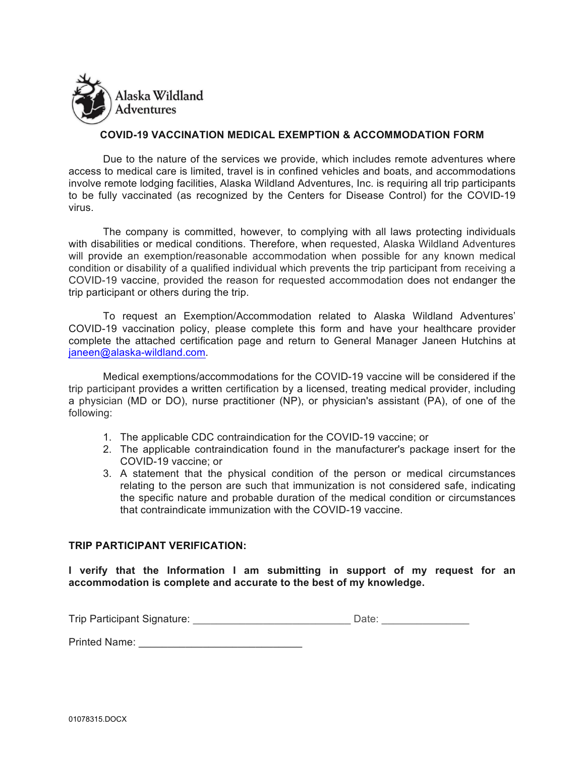

## **COVID-19 VACCINATION MEDICAL EXEMPTION & ACCOMMODATION FORM**

Due to the nature of the services we provide, which includes remote adventures where access to medical care is limited, travel is in confined vehicles and boats, and accommodations involve remote lodging facilities, Alaska Wildland Adventures, Inc. is requiring all trip participants to be fully vaccinated (as recognized by the Centers for Disease Control) for the COVID-19 virus.

The company is committed, however, to complying with all laws protecting individuals with disabilities or medical conditions. Therefore, when requested, Alaska Wildland Adventures will provide an exemption/reasonable accommodation when possible for any known medical condition or disability of a qualified individual which prevents the trip participant from receiving a COVID-19 vaccine, provided the reason for requested accommodation does not endanger the trip participant or others during the trip.

To request an Exemption/Accommodation related to Alaska Wildland Adventures' COVID-19 vaccination policy, please complete this form and have your healthcare provider complete the attached certification page and return to General Manager Janeen Hutchins at janeen@alaska-wildland.com.

Medical exemptions/accommodations for the COVID-19 vaccine will be considered if the trip participant provides a written certification by a licensed, treating medical provider, including a physician (MD or DO), nurse practitioner (NP), or physician's assistant (PA), of one of the following:

- 1. The applicable CDC contraindication for the COVID-19 vaccine; or
- 2. The applicable contraindication found in the manufacturer's package insert for the COVID-19 vaccine; or
- 3. A statement that the physical condition of the person or medical circumstances relating to the person are such that immunization is not considered safe, indicating the specific nature and probable duration of the medical condition or circumstances that contraindicate immunization with the COVID-19 vaccine.

## **TRIP PARTICIPANT VERIFICATION:**

**I verify that the Information I am submitting in support of my request for an accommodation is complete and accurate to the best of my knowledge.** 

| Trip Participant Signature: |  |  |
|-----------------------------|--|--|
|-----------------------------|--|--|

Printed Name: **Example 20**